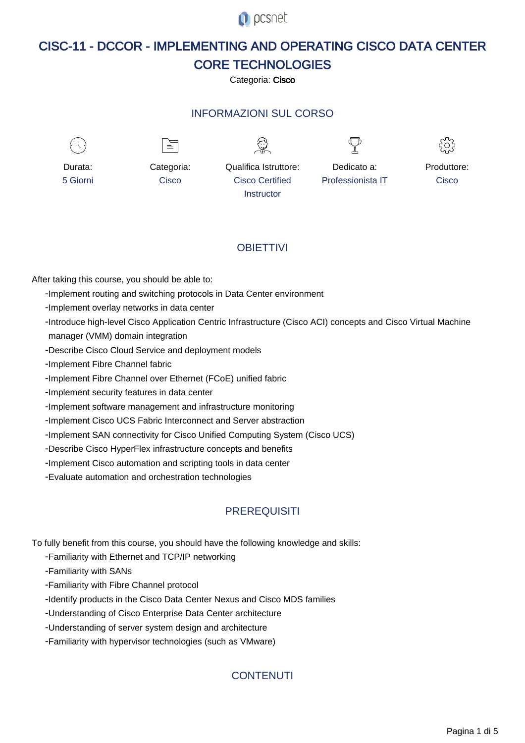**O** pcsnet

# CISC-11 - DCCOR - IMPLEMENTING AND OPERATING CISCO DATA CENTER CORE TECHNOLOGIES

Categoria: Cisco

# INFORMAZIONI SUL CORSO



# **OBIFTTIVI**

After taking this course, you should be able to:

- Implement routing and switching protocols in Data Center environment
- Implement overlay networks in data center
- Introduce high-level Cisco Application Centric Infrastructure (Cisco ACI) concepts and Cisco Virtual Machine manager (VMM) domain integration
- Describe Cisco Cloud Service and deployment models
- Implement Fibre Channel fabric
- Implement Fibre Channel over Ethernet (FCoE) unified fabric
- Implement security features in data center
- Implement software management and infrastructure monitoring
- Implement Cisco UCS Fabric Interconnect and Server abstraction
- Implement SAN connectivity for Cisco Unified Computing System (Cisco UCS)
- Describe Cisco HyperFlex infrastructure concepts and benefits
- Implement Cisco automation and scripting tools in data center
- Evaluate automation and orchestration technologies

## **PREREQUISITI**

To fully benefit from this course, you should have the following knowledge and skills:

- Familiarity with Ethernet and TCP/IP networking

- Familiarity with SANs

- Familiarity with Fibre Channel protocol
- Identify products in the Cisco Data Center Nexus and Cisco MDS families
- Understanding of Cisco Enterprise Data Center architecture
- Understanding of server system design and architecture
- Familiarity with hypervisor technologies (such as VMware)

## **CONTENUTI**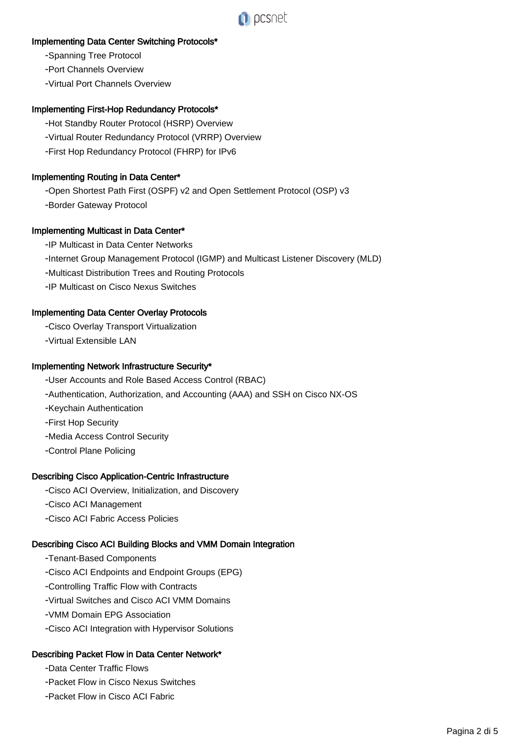

### Implementing Data Center Switching Protocols\*

- Spanning Tree Protocol

- Port Channels Overview

- Virtual Port Channels Overview

#### Implementing First-Hop Redundancy Protocols\*

- Hot Standby Router Protocol (HSRP) Overview
- Virtual Router Redundancy Protocol (VRRP) Overview
- First Hop Redundancy Protocol (FHRP) for IPv6

#### Implementing Routing in Data Center\*

- Open Shortest Path First (OSPF) v2 and Open Settlement Protocol (OSP) v3

- Border Gateway Protocol

#### Implementing Multicast in Data Center\*

- IP Multicast in Data Center Networks

- Internet Group Management Protocol (IGMP) and Multicast Listener Discovery (MLD)

- Multicast Distribution Trees and Routing Protocols

- IP Multicast on Cisco Nexus Switches

#### Implementing Data Center Overlay Protocols

- Cisco Overlay Transport Virtualization

- Virtual Extensible LAN

#### Implementing Network Infrastructure Security\*

- User Accounts and Role Based Access Control (RBAC)
- Authentication, Authorization, and Accounting (AAA) and SSH on Cisco NX-OS
- Keychain Authentication
- First Hop Security
- Media Access Control Security
- Control Plane Policing

#### Describing Cisco Application-Centric Infrastructure

- Cisco ACI Overview, Initialization, and Discovery

- Cisco ACI Management
- Cisco ACI Fabric Access Policies

## Describing Cisco ACI Building Blocks and VMM Domain Integration

- Tenant-Based Components
- Cisco ACI Endpoints and Endpoint Groups (EPG)
- Controlling Traffic Flow with Contracts
- Virtual Switches and Cisco ACI VMM Domains
- VMM Domain EPG Association
- Cisco ACI Integration with Hypervisor Solutions

## Describing Packet Flow in Data Center Network\*

- Data Center Traffic Flows

- Packet Flow in Cisco Nexus Switches
- Packet Flow in Cisco ACI Fabric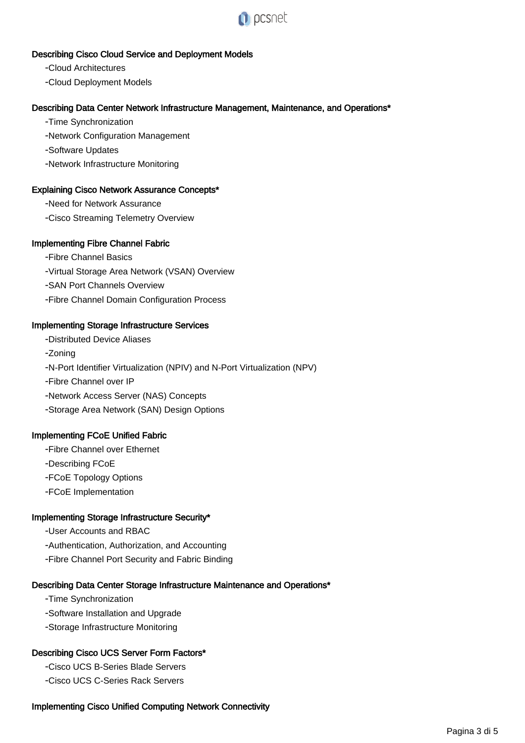

# Describing Cisco Cloud Service and Deployment Models

- Cloud Architectures

- Cloud Deployment Models

# Describing Data Center Network Infrastructure Management, Maintenance, and Operations\*

- Time Synchronization

- Network Configuration Management

- Software Updates

- Network Infrastructure Monitoring

# Explaining Cisco Network Assurance Concepts\*

- Need for Network Assurance

- Cisco Streaming Telemetry Overview

# Implementing Fibre Channel Fabric

- Fibre Channel Basics
- Virtual Storage Area Network (VSAN) Overview
- SAN Port Channels Overview
- Fibre Channel Domain Configuration Process

# Implementing Storage Infrastructure Services

- Distributed Device Aliases - Zoning - N-Port Identifier Virtualization (NPIV) and N-Port Virtualization (NPV) - Fibre Channel over IP - Network Access Server (NAS) Concepts - Storage Area Network (SAN) Design Options

## Implementing FCoE Unified Fabric

- Fibre Channel over Ethernet

- Describing FCoE

- FCoE Topology Options
- FCoE Implementation

## Implementing Storage Infrastructure Security\*

- User Accounts and RBAC
- Authentication, Authorization, and Accounting
- Fibre Channel Port Security and Fabric Binding

# Describing Data Center Storage Infrastructure Maintenance and Operations\*

- Time Synchronization
- Software Installation and Upgrade
- Storage Infrastructure Monitoring

# Describing Cisco UCS Server Form Factors\*

- Cisco UCS B-Series Blade Servers

- Cisco UCS C-Series Rack Servers

# Implementing Cisco Unified Computing Network Connectivity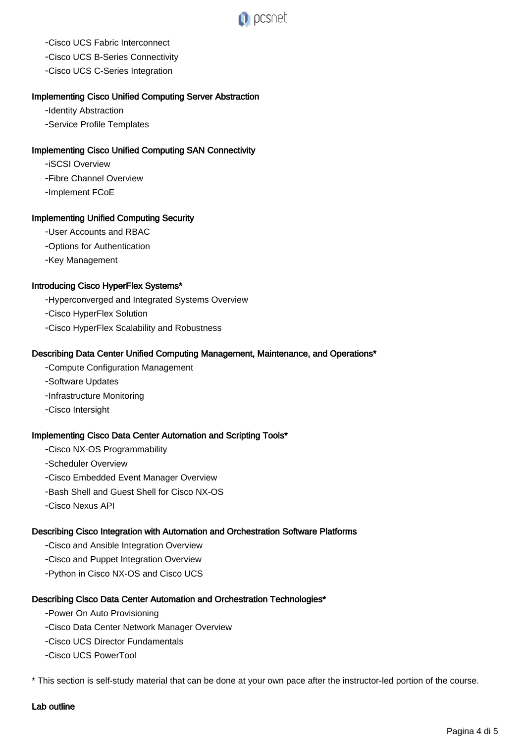

- Cisco UCS Fabric Interconnect

- Cisco UCS B-Series Connectivity
- Cisco UCS C-Series Integration

#### Implementing Cisco Unified Computing Server Abstraction

- Identity Abstraction

- Service Profile Templates

#### Implementing Cisco Unified Computing SAN Connectivity

- iSCSI Overview

- Fibre Channel Overview

- Implement FCoE

#### Implementing Unified Computing Security

- User Accounts and RBAC

- Options for Authentication

- Key Management

#### Introducing Cisco HyperFlex Systems\*

- Hyperconverged and Integrated Systems Overview

- Cisco HyperFlex Solution

- Cisco HyperFlex Scalability and Robustness

#### Describing Data Center Unified Computing Management, Maintenance, and Operations\*

- Compute Configuration Management
- Software Updates
- Infrastructure Monitoring
- Cisco Intersight

#### Implementing Cisco Data Center Automation and Scripting Tools\*

- Cisco NX-OS Programmability
- Scheduler Overview
- Cisco Embedded Event Manager Overview
- Bash Shell and Guest Shell for Cisco NX-OS
- Cisco Nexus API

#### Describing Cisco Integration with Automation and Orchestration Software Platforms

- Cisco and Ansible Integration Overview
- Cisco and Puppet Integration Overview
- Python in Cisco NX-OS and Cisco UCS

#### Describing Cisco Data Center Automation and Orchestration Technologies\*

- Power On Auto Provisioning
- Cisco Data Center Network Manager Overview
- Cisco UCS Director Fundamentals
- Cisco UCS PowerTool

\* This section is self-study material that can be done at your own pace after the instructor-led portion of the course.

#### Lab outline